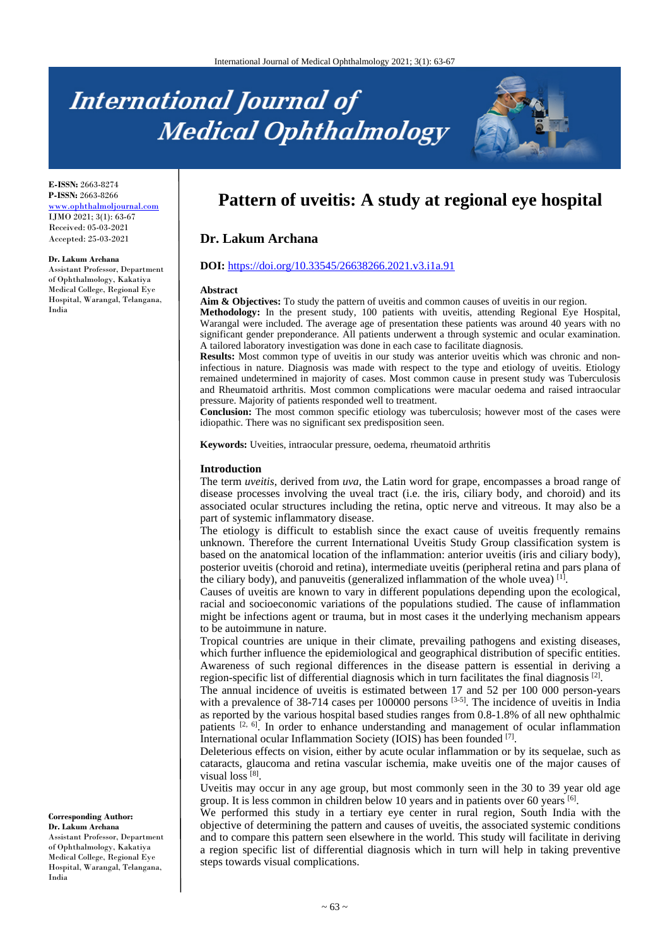# **International Journal of Medical Ophthalmology**



**E-ISSN:** 2663-8274 **P-ISSN:** 2663-8266 [www.ophthalmoljournal.com](http://www.ophthalmoljournal.com/) IJMO 2021; 3(1): 63-67 Received: 05-03-2021 Accepted: 25-03-2021

#### **Dr. Lakum Archana**

Assistant Professor, Department of Ophthalmology, Kakatiya Medical College, Regional Eye Hospital, Warangal, Telangana, India

# **Pattern of uveitis: A study at regional eye hospital**

# **Dr. Lakum Archana**

#### **DOI:** <https://doi.org/10.33545/26638266.2021.v3.i1a.91>

#### **Abstract**

Aim & Objectives: To study the pattern of uveitis and common causes of uveitis in our region. **Methodology:** In the present study, 100 patients with uveitis, attending Regional Eye Hospital, Warangal were included. The average age of presentation these patients was around 40 years with no significant gender preponderance. All patients underwent a through systemic and ocular examination.

A tailored laboratory investigation was done in each case to facilitate diagnosis. **Results:** Most common type of uveitis in our study was anterior uveitis which was chronic and noninfectious in nature. Diagnosis was made with respect to the type and etiology of uveitis. Etiology remained undetermined in majority of cases. Most common cause in present study was Tuberculosis and Rheumatoid arthritis. Most common complications were macular oedema and raised intraocular pressure. Majority of patients responded well to treatment.

**Conclusion:** The most common specific etiology was tuberculosis; however most of the cases were idiopathic. There was no significant sex predisposition seen.

**Keywords:** Uveities, intraocular pressure, oedema, rheumatoid arthritis

#### **Introduction**

The term *uveitis*, derived from *uva,* the Latin word for grape, encompasses a broad range of disease processes involving the uveal tract (i.e. the iris, ciliary body, and choroid) and its associated ocular structures including the retina, optic nerve and vitreous. It may also be a part of systemic inflammatory disease.

The etiology is difficult to establish since the exact cause of uveitis frequently remains unknown. Therefore the current International Uveitis Study Group classification system is based on the anatomical location of the inflammation: anterior uveitis (iris and ciliary body), posterior uveitis (choroid and retina), intermediate uveitis (peripheral retina and pars plana of the ciliary body), and panuveitis (generalized inflammation of the whole uvea)  $^{[1]}$ .

Causes of uveitis are known to vary in different populations depending upon the ecological, racial and socioeconomic variations of the populations studied. The cause of inflammation might be infections agent or trauma, but in most cases it the underlying mechanism appears to be autoimmune in nature.

Tropical countries are unique in their climate, prevailing pathogens and existing diseases, which further influence the epidemiological and geographical distribution of specific entities. Awareness of such regional differences in the disease pattern is essential in deriving a region-specific list of differential diagnosis which in turn facilitates the final diagnosis  $^{[2]}$ .

The annual incidence of uveitis is estimated between 17 and 52 per 100 000 person-years with a prevalence of 38-714 cases per 100000 persons <sup>[3-5]</sup>. The incidence of uveitis in India as reported by the various hospital based studies ranges from 0.8-1.8% of all new ophthalmic patients  $[2, 6]$ . In order to enhance understanding and management of ocular inflammation International ocular Inflammation Society (IOIS) has been founded [7].

Deleterious effects on vision, either by acute ocular inflammation or by its sequelae, such as cataracts, glaucoma and retina vascular ischemia, make uveitis one of the major causes of visual loss  $[8]$ .

Uveitis may occur in any age group, but most commonly seen in the 30 to 39 year old age group. It is less common in children below 10 years and in patients over 60 years  $[6]$ .

We performed this study in a tertiary eye center in rural region, South India with the objective of determining the pattern and causes of uveitis, the associated systemic conditions and to compare this pattern seen elsewhere in the world. This study will facilitate in deriving a region specific list of differential diagnosis which in turn will help in taking preventive steps towards visual complications.

#### **Corresponding Author: Dr. Lakum Archana**

Assistant Professor, Department of Ophthalmology, Kakatiya Medical College, Regional Eye Hospital, Warangal, Telangana, India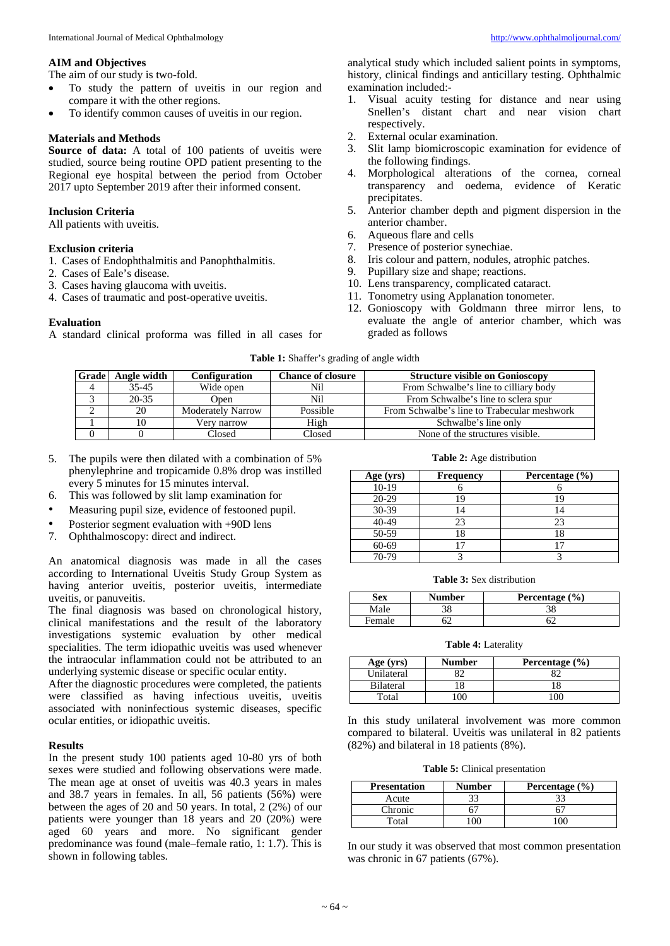#### **AIM and Objectives**

The aim of our study is two-fold.

- To study the pattern of uveitis in our region and compare it with the other regions.
- To identify common causes of uveitis in our region.

#### **Materials and Methods**

Source of data: A total of 100 patients of uveitis were studied, source being routine OPD patient presenting to the Regional eye hospital between the period from October 2017 upto September 2019 after their informed consent.

#### **Inclusion Criteria**

All patients with uveitis.

#### **Exclusion criteria**

- 1. Cases of Endophthalmitis and Panophthalmitis.
- 2. Cases of Eale's disease.
- 3. Cases having glaucoma with uveitis.
- 4. Cases of traumatic and post-operative uveitis.

#### **Evaluation**

A standard clinical proforma was filled in all cases for

analytical study which included salient points in symptoms, history, clinical findings and anticillary testing. Ophthalmic examination included:-

- 1. Visual acuity testing for distance and near using Snellen's distant chart and near vision chart respectively.
- 2. External ocular examination.
- 3. Slit lamp biomicroscopic examination for evidence of the following findings.
- 4. Morphological alterations of the cornea, corneal transparency and oedema, evidence of Keratic precipitates.
- 5. Anterior chamber depth and pigment dispersion in the anterior chamber.
- 6. Aqueous flare and cells
- 
- 7. Presence of posterior synechiae.<br>8. Iris colour and pattern, nodules, 8. Iris colour and pattern, nodules, atrophic patches.<br>9. Pubillary size and shape; reactions.
- Pupillary size and shape; reactions.
- 10. Lens transparency, complicated cataract.
- 11. Tonometry using Applanation tonometer.
- 12. Gonioscopy with Goldmann three mirror lens, to evaluate the angle of anterior chamber, which was graded as follows

**Table 1:** Shaffer's grading of angle width

| Grade | Angle width | <b>Configuration</b>     | <b>Chance of closure</b> | <b>Structure visible on Gonioscopy</b>      |
|-------|-------------|--------------------------|--------------------------|---------------------------------------------|
| 4     | $35 - 45$   | Wide open                | Nil                      | From Schwalbe's line to cilliary body       |
|       | $20 - 35$   | Open                     | Nil                      | From Schwalbe's line to sclera spur         |
|       | 20          | <b>Moderately Narrow</b> | Possible                 | From Schwalbe's line to Trabecular meshwork |
|       |             | Verv narrow              | High                     | Schwalbe's line only                        |
|       |             | Closed                   | Closed                   | None of the structures visible.             |

- 5. The pupils were then dilated with a combination of 5% phenylephrine and tropicamide 0.8% drop was instilled every 5 minutes for 15 minutes interval.
- 6. This was followed by slit lamp examination for
- Measuring pupil size, evidence of festooned pupil.
- Posterior segment evaluation with +90D lens<br>7. Ophthalmoscopy: direct and indirect.
- Ophthalmoscopy: direct and indirect.

An anatomical diagnosis was made in all the cases according to International Uveitis Study Group System as having anterior uveitis, posterior uveitis, intermediate uveitis, or panuveitis.

The final diagnosis was based on chronological history, clinical manifestations and the result of the laboratory investigations systemic evaluation by other medical specialities. The term idiopathic uveitis was used whenever the intraocular inflammation could not be attributed to an underlying systemic disease or specific ocular entity.

After the diagnostic procedures were completed, the patients were classified as having infectious uveitis, uveitis associated with noninfectious systemic diseases, specific ocular entities, or idiopathic uveitis.

#### **Results**

In the present study 100 patients aged 10-80 yrs of both sexes were studied and following observations were made. The mean age at onset of uveitis was 40.3 years in males and 38.7 years in females. In all, 56 patients (56%) were between the ages of 20 and 50 years. In total, 2 (2%) of our patients were younger than 18 years and 20 (20%) were aged 60 years and more. No significant gender predominance was found (male–female ratio, 1: 1.7). This is shown in following tables.

**Table 2:** Age distribution

| Age (yrs) | <b>Frequency</b> | Percentage $(\% )$ |
|-----------|------------------|--------------------|
| $10-19$   |                  |                    |
| 20-29     |                  |                    |
| 30-39     |                  |                    |
| 40-49     | 23               | 23                 |
| 50-59     |                  |                    |
| $60 - 69$ |                  |                    |
| 70-79     |                  |                    |

**Table 3:** Sex distribution

| Sex    | Number | Percentage $(\% )$ |
|--------|--------|--------------------|
| Male   | 38     |                    |
| Female |        |                    |

**Table 4:** Laterality

| Age (yrs)        | <b>Number</b> | Percentage $(\% )$ |
|------------------|---------------|--------------------|
| Unilateral       |               |                    |
| <b>Bilateral</b> |               |                    |
| Total            |               |                    |

In this study unilateral involvement was more common compared to bilateral. Uveitis was unilateral in 82 patients (82%) and bilateral in 18 patients (8%).

**Table 5:** Clinical presentation

| <b>Presentation</b> | <b>Number</b> | Percentage $(\% )$ |
|---------------------|---------------|--------------------|
| Acute               | 33            | 33                 |
| <b>Chronic</b>      |               |                    |
| Total               |               |                    |

In our study it was observed that most common presentation was chronic in 67 patients (67%).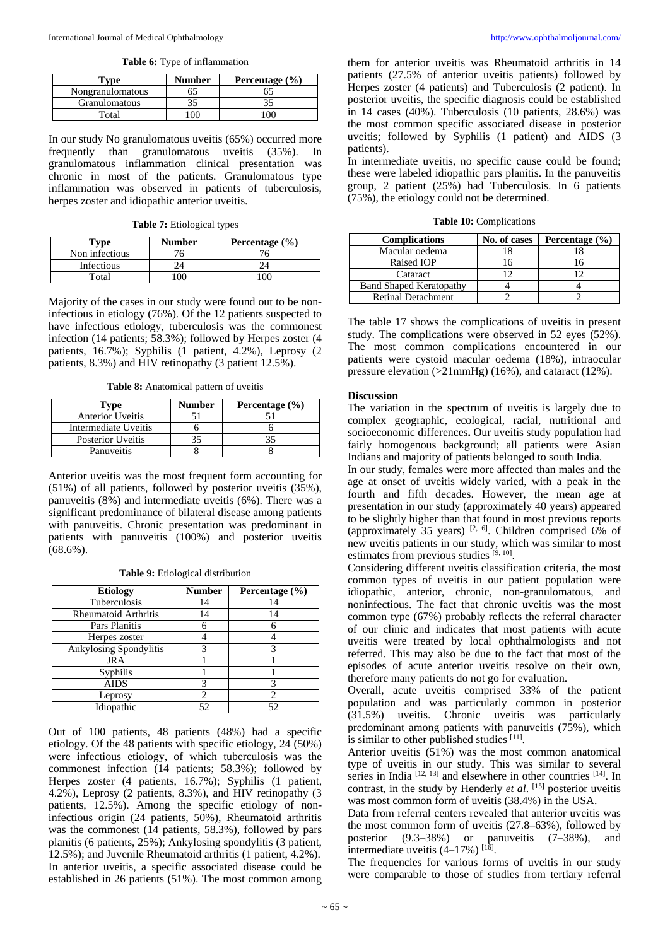**Table 6:** Type of inflammation

| Tvpe                 | <b>Number</b> | Percentage $(\% )$ |
|----------------------|---------------|--------------------|
| Nongranulomatous     |               |                    |
| <b>Granulomatous</b> |               |                    |
| Total                |               |                    |

In our study No granulomatous uveitis (65%) occurred more<br>frequently than granulomatous uveitis (35%). In frequently than granulomatous uveitis (35%). granulomatous inflammation clinical presentation was chronic in most of the patients. Granulomatous type inflammation was observed in patients of tuberculosis, herpes zoster and idiopathic anterior uveitis.

**Table 7:** Etiological types

| $T$ vpe        | <b>Number</b> | Percentage $(\% )$ |
|----------------|---------------|--------------------|
| Non infectious |               |                    |
| Infectious     |               |                    |
| Total          |               |                    |

Majority of the cases in our study were found out to be noninfectious in etiology (76%). Of the 12 patients suspected to have infectious etiology, tuberculosis was the commonest infection (14 patients; 58.3%); followed by Herpes zoster (4 patients, 16.7%); Syphilis (1 patient, 4.2%), Leprosy (2 patients, 8.3%) and HIV retinopathy (3 patient 12.5%).

**Table 8:** Anatomical pattern of uveitis

| l'vpe                   | <b>Number</b> | Percentage $(\% )$ |
|-------------------------|---------------|--------------------|
| <b>Anterior Uveitis</b> |               |                    |
| Intermediate Uveitis    |               |                    |
| Posterior Uveitis       |               |                    |
| Panuveitis              |               |                    |

Anterior uveitis was the most frequent form accounting for (51%) of all patients, followed by posterior uveitis (35%), panuveitis (8%) and intermediate uveitis (6%). There was a significant predominance of bilateral disease among patients with panuveitis. Chronic presentation was predominant in patients with panuveitis (100%) and posterior uveitis  $(68.6\%)$ .

**Table 9:** Etiological distribution

| <b>Etiology</b>               | <b>Number</b> | Percentage $(\% )$ |
|-------------------------------|---------------|--------------------|
| Tuberculosis                  | 14            | 14                 |
| <b>Rheumatoid Arthritis</b>   | 14            | 14                 |
| Pars Planitis                 |               |                    |
| Herpes zoster                 |               |                    |
| <b>Ankylosing Spondylitis</b> |               |                    |
| JRA                           |               |                    |
| Syphilis                      |               |                    |
| <b>AIDS</b>                   |               |                    |
| Leprosy                       |               |                    |
| Idiopathic                    | 52            | 52                 |

Out of 100 patients, 48 patients (48%) had a specific etiology. Of the 48 patients with specific etiology, 24 (50%) were infectious etiology, of which tuberculosis was the commonest infection  $(14 \text{ patients}; 58.3\%)$ ; followed by Herpes zoster (4 patients, 16.7%); Syphilis (1 patient, 4.2%), Leprosy (2 patients, 8.3%), and HIV retinopathy (3 patients, 12.5%). Among the specific etiology of noninfectious origin (24 patients, 50%), Rheumatoid arthritis was the commonest (14 patients, 58.3%), followed by pars planitis (6 patients, 25%); Ankylosing spondylitis (3 patient, 12.5%); and Juvenile Rheumatoid arthritis (1 patient, 4.2%). In anterior uveitis, a specific associated disease could be established in 26 patients (51%). The most common among

them for anterior uveitis was Rheumatoid arthritis in 14 patients (27.5% of anterior uveitis patients) followed by Herpes zoster (4 patients) and Tuberculosis (2 patient). In posterior uveitis, the specific diagnosis could be established in 14 cases (40%). Tuberculosis (10 patients, 28.6%) was the most common specific associated disease in posterior uveitis; followed by Syphilis (1 patient) and AIDS (3 patients).

In intermediate uveitis, no specific cause could be found; these were labeled idiopathic pars planitis. In the panuveitis group, 2 patient (25%) had Tuberculosis. In 6 patients (75%), the etiology could not be determined.

**Table 10:** Complications

| <b>Complications</b>           | No. of cases | Percentage $(\% )$ |
|--------------------------------|--------------|--------------------|
| Macular oedema                 |              |                    |
| Raised IOP                     |              |                    |
| Cataract                       |              |                    |
| <b>Band Shaped Keratopathy</b> |              |                    |
| <b>Retinal Detachment</b>      |              |                    |

The table 17 shows the complications of uveitis in present study. The complications were observed in 52 eyes (52%). The most common complications encountered in our patients were cystoid macular oedema (18%), intraocular pressure elevation (>21mmHg) (16%), and cataract (12%).

#### **Discussion**

The variation in the spectrum of uveitis is largely due to complex geographic, ecological, racial, nutritional and socioeconomic differences**.** Our uveitis study population had fairly homogenous background; all patients were Asian Indians and majority of patients belonged to south India.

In our study, females were more affected than males and the age at onset of uveitis widely varied, with a peak in the fourth and fifth decades. However, the mean age at presentation in our study (approximately 40 years) appeared to be slightly higher than that found in most previous reports (approximately 35 years)  $[2, 6]$ . Children comprised 6% of new uveitis patients in our study, which was similar to most estimates from previous studies [9, 10].

Considering different uveitis classification criteria, the most common types of uveitis in our patient population were idiopathic, anterior, chronic, non-granulomatous, and noninfectious. The fact that chronic uveitis was the most common type (67%) probably reflects the referral character of our clinic and indicates that most patients with acute uveitis were treated by local ophthalmologists and not referred. This may also be due to the fact that most of the episodes of acute anterior uveitis resolve on their own, therefore many patients do not go for evaluation.

Overall, acute uveitis comprised 33% of the patient population and was particularly common in posterior (31.5%) uveitis. Chronic uveitis was particularly predominant among patients with panuveitis (75%), which is similar to other published studies  $[11]$ .

Anterior uveitis (51%) was the most common anatomical type of uveitis in our study. This was similar to several series in India  $[12, 13]$  and elsewhere in other countries  $[14]$ . In contrast, in the study by Henderly *et al.* [15] posterior uveitis was most common form of uveitis (38.4%) in the USA.

Data from referral centers revealed that anterior uveitis was the most common form of uveitis (27.8–63%), followed by posterior (9.3–38%) or panuveitis (7–38%), and intermediate uveitis  $(4-17%)$ <sup>[16]</sup>.

The frequencies for various forms of uveitis in our study were comparable to those of studies from tertiary referral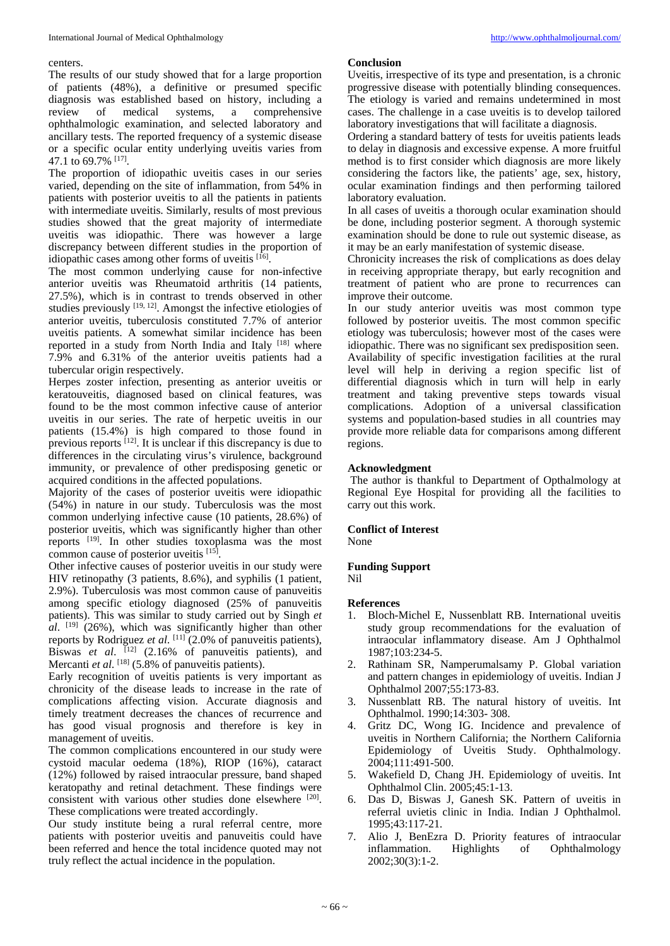#### centers.

The results of our study showed that for a large proportion of patients (48%), a definitive or presumed specific diagnosis was established based on history, including a review of medical systems, a comprehensive ophthalmologic examination, and selected laboratory and ancillary tests. The reported frequency of a systemic disease or a specific ocular entity underlying uveitis varies from 47.1 to 69.7% [17].

The proportion of idiopathic uveitis cases in our series varied, depending on the site of inflammation, from 54% in patients with posterior uveitis to all the patients in patients with intermediate uveitis. Similarly, results of most previous studies showed that the great majority of intermediate uveitis was idiopathic. There was however a large discrepancy between different studies in the proportion of idiopathic cases among other forms of uveitis [16].

The most common underlying cause for non-infective anterior uveitis was Rheumatoid arthritis (14 patients, 27.5%), which is in contrast to trends observed in other studies previously  $[19, 12]$ . Amongst the infective etiologies of anterior uveitis, tuberculosis constituted 7.7% of anterior uveitis patients. A somewhat similar incidence has been reported in a study from North India and Italy [18] where 7.9% and 6.31% of the anterior uveitis patients had a tubercular origin respectively.

Herpes zoster infection, presenting as anterior uveitis or keratouveitis, diagnosed based on clinical features, was found to be the most common infective cause of anterior uveitis in our series. The rate of herpetic uveitis in our patients (15.4%) is high compared to those found in previous reports  $^{[12]}$ . It is unclear if this discrepancy is due to differences in the circulating virus's virulence, background immunity, or prevalence of other predisposing genetic or acquired conditions in the affected populations.

Majority of the cases of posterior uveitis were idiopathic (54%) in nature in our study. Tuberculosis was the most common underlying infective cause (10 patients, 28.6%) of posterior uveitis, which was significantly higher than other reports [19]. In other studies toxoplasma was the most common cause of posterior uveitis [15].

Other infective causes of posterior uveitis in our study were HIV retinopathy (3 patients, 8.6%), and syphilis (1 patient, 2.9%). Tuberculosis was most common cause of panuveitis among specific etiology diagnosed (25% of panuveitis patients). This was similar to study carried out by Singh *et al*. [19] (26%), which was significantly higher than other reports by Rodriguez *et al*. [11] (2.0% of panuveitis patients), Biswas *et al.* <sup>[12]</sup> (2.16% of panuveitis patients), and Mercanti *et al.* <sup>[18]</sup> (5.8% of panuveitis patients).

Early recognition of uveitis patients is very important as chronicity of the disease leads to increase in the rate of complications affecting vision. Accurate diagnosis and timely treatment decreases the chances of recurrence and has good visual prognosis and therefore is key in management of uveitis.

The common complications encountered in our study were cystoid macular oedema (18%), RIOP (16%), cataract (12%) followed by raised intraocular pressure, band shaped keratopathy and retinal detachment. These findings were consistent with various other studies done elsewhere [20]. These complications were treated accordingly.

Our study institute being a rural referral centre, more patients with posterior uveitis and panuveitis could have been referred and hence the total incidence quoted may not truly reflect the actual incidence in the population.

#### **Conclusion**

Uveitis, irrespective of its type and presentation, is a chronic progressive disease with potentially blinding consequences. The etiology is varied and remains undetermined in most cases. The challenge in a case uveitis is to develop tailored laboratory investigations that will facilitate a diagnosis.

Ordering a standard battery of tests for uveitis patients leads to delay in diagnosis and excessive expense. A more fruitful method is to first consider which diagnosis are more likely considering the factors like, the patients' age, sex, history, ocular examination findings and then performing tailored laboratory evaluation.

In all cases of uveitis a thorough ocular examination should be done, including posterior segment. A thorough systemic examination should be done to rule out systemic disease, as it may be an early manifestation of systemic disease.

Chronicity increases the risk of complications as does delay in receiving appropriate therapy, but early recognition and treatment of patient who are prone to recurrences can improve their outcome.

In our study anterior uveitis was most common type followed by posterior uveitis. The most common specific etiology was tuberculosis; however most of the cases were idiopathic. There was no significant sex predisposition seen. Availability of specific investigation facilities at the rural level will help in deriving a region specific list of differential diagnosis which in turn will help in early treatment and taking preventive steps towards visual complications. Adoption of a universal classification systems and population-based studies in all countries may provide more reliable data for comparisons among different regions.

## **Acknowledgment**

The author is thankful to Department of Opthalmology at Regional Eye Hospital for providing all the facilities to carry out this work.

#### **Conflict of Interest**

None

## **Funding Support**

Nil

#### **References**

- 1. Bloch-Michel E, Nussenblatt RB. International uveitis study group recommendations for the evaluation of intraocular inflammatory disease. Am J Ophthalmol 1987;103:234-5.
- 2. Rathinam SR, Namperumalsamy P. Global variation and pattern changes in epidemiology of uveitis. Indian J Ophthalmol 2007;55:173-83.
- 3. Nussenblatt RB. The natural history of uveitis. Int Ophthalmol. 1990;14:303- 308.
- 4. Gritz DC, Wong IG. Incidence and prevalence of uveitis in Northern California; the Northern California Epidemiology of Uveitis Study. Ophthalmology. 2004;111:491-500.
- 5. Wakefield D, Chang JH. Epidemiology of uveitis. Int Ophthalmol Clin. 2005;45:1-13.
- 6. Das D, Biswas J, Ganesh SK. Pattern of uveitis in referral uvietis clinic in India. Indian J Ophthalmol. 1995;43:117-21.
- 7. Alio J, BenEzra D. Priority features of intraocular inflammation. Highlights of Ophthalmology 2002;30(3):1-2.